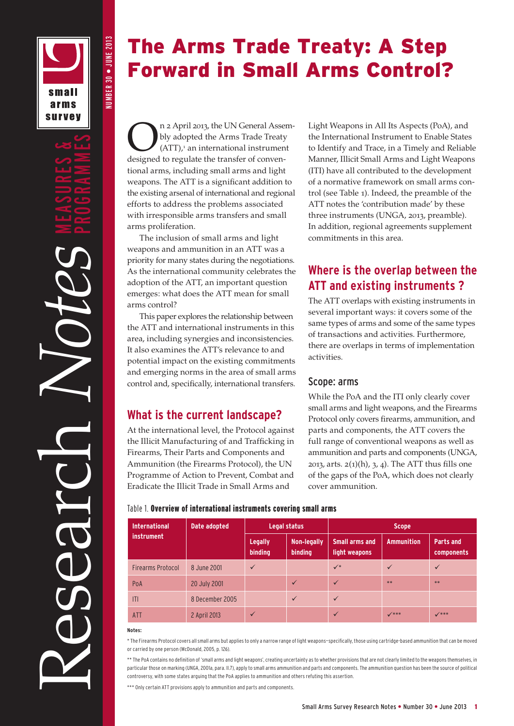small arms **survey**  NUMBER 30 • JUNE 2013

NUMBER 30 . JUNE 2013

# The Arms Trade Treaty: A Step Forward in Small Arms Control?

The UN General Assembly adopted the Arms Trade Treaty<br>(ATT),<sup>1</sup> an international instrument<br>designed to regulate the transfer of convenbly adopted the Arms Trade Treaty  $(ATT)<sup>1</sup>$  an international instrument designed to regulate the transfer of conventional arms, including small arms and light weapons. The ATT is a significant addition to the existing arsenal of international and regional efforts to address the problems associated with irresponsible arms transfers and small arms proliferation.

The inclusion of small arms and light weapons and ammunition in an ATT was a priority for many states during the negotiations. As the international community celebrates the adoption of the ATT, an important question emerges: what does the ATT mean for small arms control?

This paper explores the relationship between the ATT and international instruments in this area, including synergies and inconsistencies. It also examines the ATT's relevance to and potential impact on the existing commitments and emerging norms in the area of small arms control and, specifically, international transfers.

## **What is the current landscape?**

At the international level, the Protocol against the Illicit Manufacturing of and Trafficking in Firearms, Their Parts and Components and Ammunition (the Firearms Protocol), the UN Programme of Action to Prevent, Combat and Eradicate the Illicit Trade in Small Arms and

Light Weapons in All Its Aspects (PoA), and the International Instrument to Enable States to Identify and Trace, in a Timely and Reliable Manner, Illicit Small Arms and Light Weapons (ITI) have all contributed to the development of a normative framework on small arms control (see Table 1). Indeed, the preamble of the ATT notes the 'contribution made' by these three instruments (UNGA, 2013, preamble). In addition, regional agreements supplement commitments in this area.

## **Where is the overlap between the ATT and existing instruments ?**

The ATT overlaps with existing instruments in several important ways: it covers some of the same types of arms and some of the same types of transactions and activities. Furthermore, there are overlaps in terms of implementation activities.

### Scope: arms

While the PoA and the ITI only clearly cover small arms and light weapons, and the Firearms Protocol only covers firearms, ammunition, and parts and components, the ATT covers the full range of conventional weapons as well as ammunition and parts and components (UNGA, 2013, arts.  $2(1)(h)$ , 3, 4). The ATT thus fills one of the gaps of the PoA, which does not clearly cover ammunition.

### Table 1. Overview of international instruments covering small arms

| <b>International</b><br><i>instrument</i> | Date adopted    | Legal status       |                        | <b>Scope</b>                           |                   |                                |
|-------------------------------------------|-----------------|--------------------|------------------------|----------------------------------------|-------------------|--------------------------------|
|                                           |                 | Legally<br>binding | Non-legally<br>binding | <b>Small arms and</b><br>light weapons | <b>Ammunition</b> | <b>Parts and</b><br>components |
| <b>Firearms Protocol</b>                  | 8 June 2001     | $\checkmark$       |                        | $\checkmark$                           | $\checkmark$      | $\checkmark$                   |
| PoA                                       | 20 July 2001    |                    | $\sqrt{}$              | $\checkmark$                           | $**$              | $**$                           |
| T                                         | 8 December 2005 |                    | $\checkmark$           | $\checkmark$                           |                   |                                |
| <b>ATT</b>                                | 2 April 2013    | $\checkmark$       |                        | $\checkmark$                           | $V***$            | $V***$                         |

#### **Notes:**

\* The Firearms Protocol covers all small arms but applies to only a narrow range of light weapons—specifically, those using cartridge-based ammunition that can be moved or carried by one person (McDonald, 2005, p. 126).

\*\* The PoA contains no definition of 'small arms and light weapons', creating uncertainty as to whether provisions that are not clearly limited to the weapons themselves, in particular those on marking (UNGA, 2001a, para. II.7), apply to small arms ammunition and parts and components. The ammunition question has been the source of political controversy, with some states arguing that the PoA applies to ammunition and others refuting this assertion.

\*\*\* Only certain ATT provisions apply to ammunition and parts and components.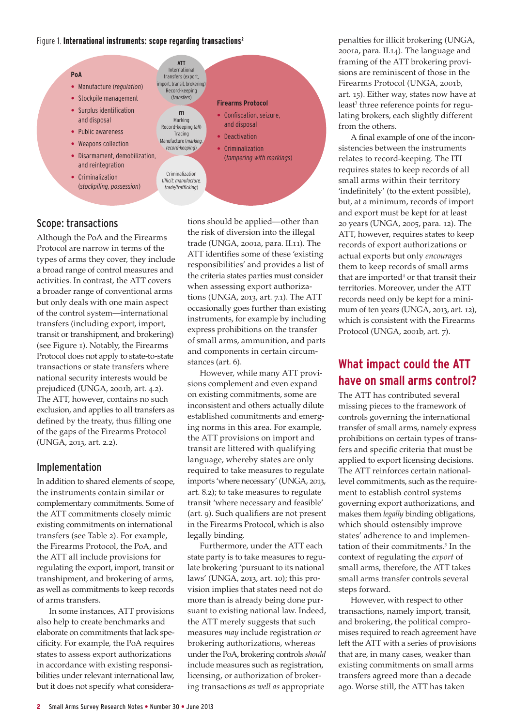#### Figure 1. International instruments: scope regarding transactions<sup>2</sup>



## Scope: transactions

Although the PoA and the Firearms Protocol are narrow in terms of the types of arms they cover, they include a broad range of control measures and activities. In contrast, the ATT covers a broader range of conventional arms but only deals with one main aspect of the control system—international transfers (including export, import, transit or transhipment, and brokering) (see Figure 1). Notably, the Firearms Protocol does not apply to state-to-state transactions or state transfers where national security interests would be prejudiced (UNGA, 2001b, art. 4.2). The ATT, however, contains no such exclusion, and applies to all transfers as defined by the treaty, thus filling one of the gaps of the Firearms Protocol (UNGA, 2013, art. 2.2).

## Implementation

In addition to shared elements of scope, the instruments contain similar or complementary commitments. Some of the ATT commitments closely mimic existing commitments on international transfers (see Table 2). For example, the Firearms Protocol, the PoA, and the ATT all include provisions for regulating the export, import, transit or transhipment, and brokering of arms, as well as commitments to keep records of arms transfers.

In some instances, ATT provisions also help to create benchmarks and elaborate on commitments that lack specificity. For example, the PoA requires states to assess export authorizations in accordance with existing responsibilities under relevant international law, but it does not specify what considera-

tions should be applied—other than the risk of diversion into the illegal trade (UNGA, 2001a, para. II.11). The ATT identifies some of these 'existing responsibilities' and provides a list of the criteria states parties must consider when assessing export authorizations (UNGA, 2013, art. 7.1). The ATT occasionally goes further than existing instruments, for example by including express prohibitions on the transfer of small arms, ammunition, and parts and components in certain circumstances (art. 6).

However, while many ATT provisions complement and even expand on existing commitments, some are inconsistent and others actually dilute established commitments and emerging norms in this area. For example, the ATT provisions on import and transit are littered with qualifying language, whereby states are only required to take measures to regulate imports 'where necessary' (UNGA, 2013, art. 8.2); to take measures to regulate transit 'where necessary and feasible' (art. 9). Such qualifiers are not present in the Firearms Protocol, which is also legally binding.

Furthermore, under the ATT each state party is to take measures to regulate brokering 'pursuant to its national laws' (UNGA, 2013, art. 10); this provision implies that states need not do more than is already being done pursuant to existing national law. Indeed, the ATT merely suggests that such measures *may* include registration *or* brokering authorizations, whereas under the PoA, brokering controls *should* include measures such as registration, licensing, or authorization of brokering transactions *as well as* appropriate

penalties for illicit brokering (UNGA, 2001a, para. II.14). The language and framing of the ATT brokering provisions are reminiscent of those in the Firearms Protocol (UNGA, 2001b, art. 15). Either way, states now have at least<sup>3</sup> three reference points for regulating brokers, each slightly different from the others.

A final example of one of the inconsistencies between the instruments relates to record-keeping. The ITI requires states to keep records of all small arms within their territory 'indefinitely' (to the extent possible), but, at a minimum, records of import and export must be kept for at least 20 years (UNGA, 2005, para. 12). The ATT, however, requires states to keep records of export authorizations or actual exports but only *encourages* them to keep records of small arms that are imported<sup>4</sup> or that transit their territories. Moreover, under the ATT records need only be kept for a minimum of ten years (UNGA, 2013, art. 12), which is consistent with the Firearms Protocol (UNGA, 2001b, art. 7).

## **What impact could the ATT have on small arms control?**

The ATT has contributed several missing pieces to the framework of controls governing the international transfer of small arms, namely express prohibitions on certain types of transfers and specific criteria that must be applied to export licensing decisions. The ATT reinforces certain nationallevel commitments, such as the requirement to establish control systems governing export authorizations, and makes them *legally* binding obligations, which should ostensibly improve states' adherence to and implementation of their commitments.<sup>5</sup> In the context of regulating the *export* of small arms, therefore, the ATT takes small arms transfer controls several steps forward.

However, with respect to other transactions, namely import, transit, and brokering, the political compromises required to reach agreement have left the ATT with a series of provisions that are, in many cases, weaker than existing commitments on small arms transfers agreed more than a decade ago. Worse still, the ATT has taken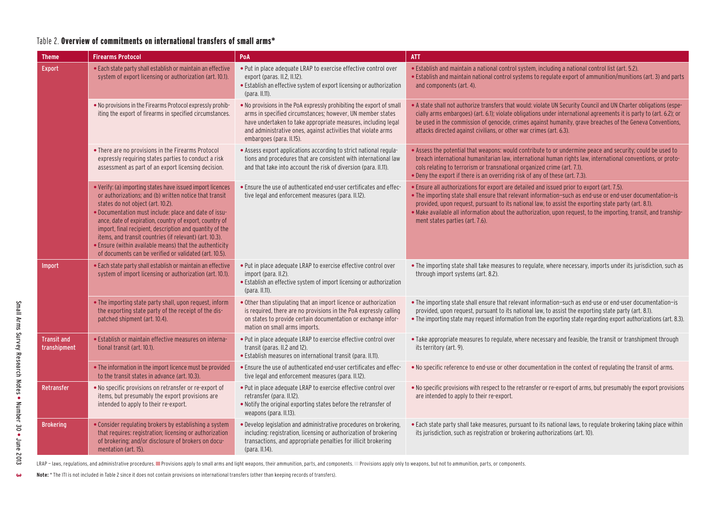#### Table 2. Overview of commitments on international transfers of small arms\*

| <b>Theme</b>                       | <b>Firearms Protocol</b>                                                                                                                                                                                                                                                                                                                                                                                                                                                                                                  | PoA                                                                                                                                                                                                                                                                                              | <b>ATT</b>                                                                                                                                                                                                                                                                                                                                                                                                                                                              |
|------------------------------------|---------------------------------------------------------------------------------------------------------------------------------------------------------------------------------------------------------------------------------------------------------------------------------------------------------------------------------------------------------------------------------------------------------------------------------------------------------------------------------------------------------------------------|--------------------------------------------------------------------------------------------------------------------------------------------------------------------------------------------------------------------------------------------------------------------------------------------------|-------------------------------------------------------------------------------------------------------------------------------------------------------------------------------------------------------------------------------------------------------------------------------------------------------------------------------------------------------------------------------------------------------------------------------------------------------------------------|
| <b>Export</b>                      | . Each state party shall establish or maintain an effective<br>system of export licensing or authorization (art. 10.1).                                                                                                                                                                                                                                                                                                                                                                                                   | • Put in place adequate LRAP to exercise effective control over<br>export (paras. II.2, II.12).<br>• Establish an effective system of export licensing or authorization<br>(para. II.11).                                                                                                        | • Establish and maintain a national control system, including a national control list (art. 5.2).<br>. Establish and maintain national control systems to regulate export of ammunition/munitions (art. 3) and parts<br>and components (art. 4).                                                                                                                                                                                                                        |
|                                    | . No provisions in the Firearms Protocol expressly prohib-<br>iting the export of firearms in specified circumstances.                                                                                                                                                                                                                                                                                                                                                                                                    | • No provisions in the PoA expressly prohibiting the export of small<br>arms in specified circumstances; however, UN member states<br>have undertaken to take appropriate measures, including legal<br>and administrative ones, against activities that violate arms<br>embargoes (para. II.15). | . A state shall not authorize transfers that would: violate UN Security Council and UN Charter obligations (espe-<br>cially arms embargoes) (art. 6.1); violate obligations under international agreements it is party to (art. 6.2); or<br>be used in the commission of genocide, crimes against humanity, grave breaches of the Geneva Conventions,<br>attacks directed against civilians, or other war crimes (art. 6.3).                                            |
|                                    | • There are no provisions in the Firearms Protocol<br>expressly requiring states parties to conduct a risk<br>assessment as part of an export licensing decision.                                                                                                                                                                                                                                                                                                                                                         | • Assess export applications according to strict national regula-<br>tions and procedures that are consistent with international law<br>and that take into account the risk of diversion (para. II.11).                                                                                          | • Assess the potential that weapons: would contribute to or undermine peace and security; could be used to<br>breach international humanitarian law, international human rights law, international conventions, or proto-<br>cols relating to terrorism or transnational organized crime (art. 7.1).<br>. Deny the export if there is an overriding risk of any of these (art. 7.3).                                                                                    |
|                                    | . Verify: (a) importing states have issued import licences<br>or authorizations; and (b) written notice that transit<br>states do not object (art. 10.2).<br>. Documentation must include: place and date of issu-<br>ance, date of expiration, country of export, country of<br>import, final recipient, description and quantity of the<br>items, and transit countries (if relevant) (art. 10.3).<br>• Ensure (within available means) that the authenticity<br>of documents can be verified or validated (art. 10.5). | . Ensure the use of authenticated end-user certificates and effec-<br>tive legal and enforcement measures (para. II.12).                                                                                                                                                                         | • Ensure all authorizations for export are detailed and issued prior to export (art. 7.5).<br>• The importing state shall ensure that relevant information-such as end-use or end-user documentation-is<br>provided, upon request, pursuant to its national law, to assist the exporting state party (art. 8.1).<br>• Make available all information about the authorization, upon request, to the importing, transit, and tranship-<br>ment states parties (art. 7.6). |
| Import                             | • Each state party shall establish or maintain an effective<br>system of import licensing or authorization (art. 10.1).                                                                                                                                                                                                                                                                                                                                                                                                   | • Put in place adequate LRAP to exercise effective control over<br>import (para. II.2).<br>• Establish an effective system of import licensing or authorization<br>(para. II.11).                                                                                                                | • The importing state shall take measures to regulate, where necessary, imports under its jurisdiction, such as<br>through import systems (art. 8.2).                                                                                                                                                                                                                                                                                                                   |
|                                    | . The importing state party shall, upon request, inform<br>the exporting state party of the receipt of the dis-<br>patched shipment (art. 10.4).                                                                                                                                                                                                                                                                                                                                                                          | . Other than stipulating that an import licence or authorization<br>is required, there are no provisions in the PoA expressly calling<br>on states to provide certain documentation or exchange infor-<br>mation on small arms imports.                                                          | . The importing state shall ensure that relevant information-such as end-use or end-user documentation-is<br>provided, upon request, pursuant to its national law, to assist the exporting state party (art. 8.1).<br>• The importing state may request information from the exporting state regarding export authorizations (art. 8.3).                                                                                                                                |
| <b>Transit and</b><br>transhipment | • Establish or maintain effective measures on interna-<br>tional transit (art. 10.1).                                                                                                                                                                                                                                                                                                                                                                                                                                     | • Put in place adequate LRAP to exercise effective control over<br>transit (paras. II.2 and 12).<br>· Establish measures on international transit (para. II.11).                                                                                                                                 | . Take appropriate measures to regulate, where necessary and feasible, the transit or transhipment through<br>its territory (art. 9).                                                                                                                                                                                                                                                                                                                                   |
|                                    | • The information in the import licence must be provided<br>to the transit states in advance (art. 10.3).                                                                                                                                                                                                                                                                                                                                                                                                                 | • Ensure the use of authenticated end-user certificates and effec-<br>tive legal and enforcement measures (para. II.12).                                                                                                                                                                         | . No specific reference to end-use or other documentation in the context of regulating the transit of arms.                                                                                                                                                                                                                                                                                                                                                             |
| Retransfer                         | • No specific provisions on retransfer or re-export of<br>items, but presumably the export provisions are<br>intended to apply to their re-export.                                                                                                                                                                                                                                                                                                                                                                        | • Put in place adequate LRAP to exercise effective control over<br>retransfer (para. II.12).<br>. Notify the original exporting states before the retransfer of<br>weapons (para. II.13).                                                                                                        | • No specific provisions with respect to the retransfer or re-export of arms, but presumably the export provisions<br>are intended to apply to their re-export.                                                                                                                                                                                                                                                                                                         |
| <b>Brokering</b>                   | . Consider regulating brokers by establishing a system<br>that requires: registration; licensing or authorization<br>of brokering; and/or disclosure of brokers on docu-<br>mentation (art. 15).                                                                                                                                                                                                                                                                                                                          | . Develop legislation and administrative procedures on brokering,<br>including: registration, licensing or authorization of brokering<br>transactions, and appropriate penalties for illicit brokering<br>(para. II.14).                                                                         | . Each state party shall take measures, pursuant to its national laws, to regulate brokering taking place within<br>its jurisdiction, such as registration or brokering authorizations (art. 10).                                                                                                                                                                                                                                                                       |

LRAP-laws, regulations, and administrative procedures. Provisions apply to small arms and light weapons, their ammunition, parts, and components. Provisions apply only to weapons, but not to ammunition, parts, or component

**Note:** \* The ITI is not included in Table 2 since it does not contain provisions on international transfers (other than keeping records of transfers).